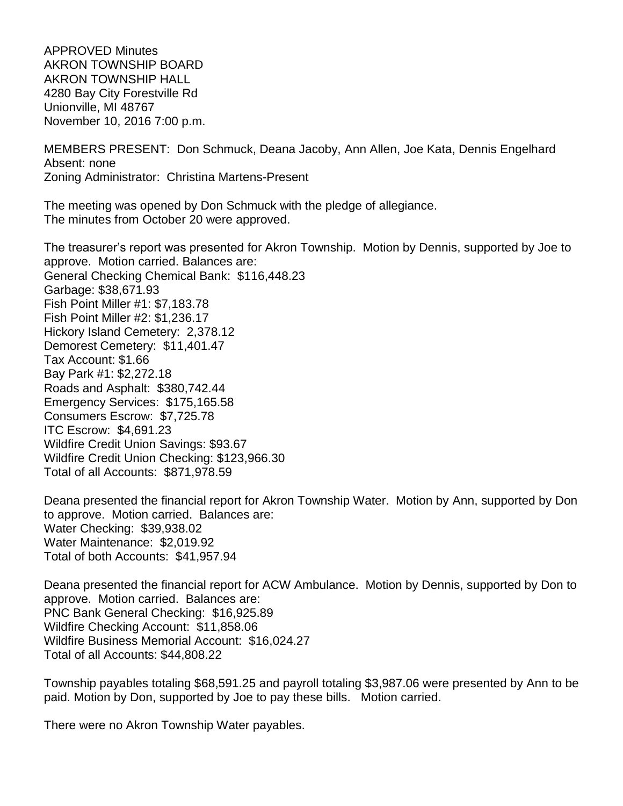APPROVED Minutes AKRON TOWNSHIP BOARD AKRON TOWNSHIP HALL 4280 Bay City Forestville Rd Unionville, MI 48767 November 10, 2016 7:00 p.m.

MEMBERS PRESENT: Don Schmuck, Deana Jacoby, Ann Allen, Joe Kata, Dennis Engelhard Absent: none Zoning Administrator: Christina Martens-Present

The meeting was opened by Don Schmuck with the pledge of allegiance. The minutes from October 20 were approved.

The treasurer's report was presented for Akron Township. Motion by Dennis, supported by Joe to approve. Motion carried. Balances are: General Checking Chemical Bank: \$116,448.23 Garbage: \$38,671.93 Fish Point Miller #1: \$7,183.78 Fish Point Miller #2: \$1,236.17 Hickory Island Cemetery: 2,378.12 Demorest Cemetery: \$11,401.47 Tax Account: \$1.66 Bay Park #1: \$2,272.18 Roads and Asphalt: \$380,742.44 Emergency Services: \$175,165.58 Consumers Escrow: \$7,725.78 ITC Escrow: \$4,691.23 Wildfire Credit Union Savings: \$93.67 Wildfire Credit Union Checking: \$123,966.30 Total of all Accounts: \$871,978.59

Deana presented the financial report for Akron Township Water. Motion by Ann, supported by Don to approve. Motion carried. Balances are: Water Checking: \$39,938.02 Water Maintenance: \$2,019.92 Total of both Accounts: \$41,957.94

Deana presented the financial report for ACW Ambulance. Motion by Dennis, supported by Don to approve. Motion carried. Balances are: PNC Bank General Checking: \$16,925.89 Wildfire Checking Account: \$11,858.06 Wildfire Business Memorial Account: \$16,024.27 Total of all Accounts: \$44,808.22

Township payables totaling \$68,591.25 and payroll totaling \$3,987.06 were presented by Ann to be paid. Motion by Don, supported by Joe to pay these bills. Motion carried.

There were no Akron Township Water payables.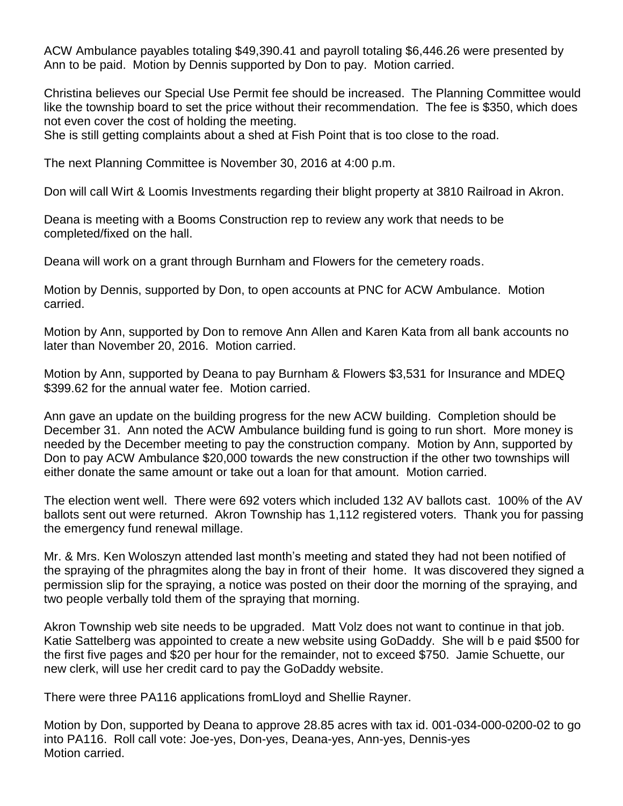ACW Ambulance payables totaling \$49,390.41 and payroll totaling \$6,446.26 were presented by Ann to be paid. Motion by Dennis supported by Don to pay. Motion carried.

Christina believes our Special Use Permit fee should be increased. The Planning Committee would like the township board to set the price without their recommendation. The fee is \$350, which does not even cover the cost of holding the meeting.

She is still getting complaints about a shed at Fish Point that is too close to the road.

The next Planning Committee is November 30, 2016 at 4:00 p.m.

Don will call Wirt & Loomis Investments regarding their blight property at 3810 Railroad in Akron.

Deana is meeting with a Booms Construction rep to review any work that needs to be completed/fixed on the hall.

Deana will work on a grant through Burnham and Flowers for the cemetery roads.

Motion by Dennis, supported by Don, to open accounts at PNC for ACW Ambulance. Motion carried.

Motion by Ann, supported by Don to remove Ann Allen and Karen Kata from all bank accounts no later than November 20, 2016. Motion carried.

Motion by Ann, supported by Deana to pay Burnham & Flowers \$3,531 for Insurance and MDEQ \$399.62 for the annual water fee. Motion carried.

Ann gave an update on the building progress for the new ACW building. Completion should be December 31. Ann noted the ACW Ambulance building fund is going to run short. More money is needed by the December meeting to pay the construction company. Motion by Ann, supported by Don to pay ACW Ambulance \$20,000 towards the new construction if the other two townships will either donate the same amount or take out a loan for that amount. Motion carried.

The election went well. There were 692 voters which included 132 AV ballots cast. 100% of the AV ballots sent out were returned. Akron Township has 1,112 registered voters. Thank you for passing the emergency fund renewal millage.

Mr. & Mrs. Ken Woloszyn attended last month's meeting and stated they had not been notified of the spraying of the phragmites along the bay in front of their home. It was discovered they signed a permission slip for the spraying, a notice was posted on their door the morning of the spraying, and two people verbally told them of the spraying that morning.

Akron Township web site needs to be upgraded. Matt Volz does not want to continue in that job. Katie Sattelberg was appointed to create a new website using GoDaddy. She will b e paid \$500 for the first five pages and \$20 per hour for the remainder, not to exceed \$750. Jamie Schuette, our new clerk, will use her credit card to pay the GoDaddy website.

There were three PA116 applications fromLloyd and Shellie Rayner.

Motion by Don, supported by Deana to approve 28.85 acres with tax id. 001-034-000-0200-02 to go into PA116. Roll call vote: Joe-yes, Don-yes, Deana-yes, Ann-yes, Dennis-yes Motion carried.